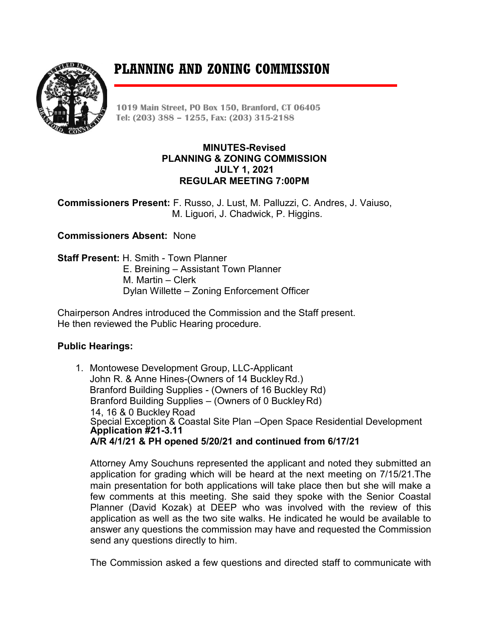# **PLANNING AND ZONING COMMISSION**



**1019 Main Street, PO Box 150, Branford, CT 06405 Tel: (203) 388 – 1255, Fax: (203) 315-2188**

## **MINUTES-Revised PLANNING & ZONING COMMISSION JULY 1, 2021 REGULAR MEETING 7:00PM**

**Commissioners Present:** F. Russo, J. Lust, M. Palluzzi, C. Andres, J. Vaiuso, M. Liguori, J. Chadwick, P. Higgins.

**Commissioners Absent:** None

**Staff Present:** H. Smith - Town Planner E. Breining – Assistant Town Planner M. Martin – Clerk Dylan Willette – Zoning Enforcement Officer

Chairperson Andres introduced the Commission and the Staff present. He then reviewed the Public Hearing procedure.

# **Public Hearings:**

1. Montowese Development Group, LLC-Applicant John R. & Anne Hines-(Owners of 14 BuckleyRd.) Branford Building Supplies - (Owners of 16 Buckley Rd) Branford Building Supplies – (Owners of 0 BuckleyRd) 14, 16 & 0 Buckley Road Special Exception & Coastal Site Plan –Open Space Residential Development **Application #21-3.11 A/R 4/1/21 & PH opened 5/20/21 and continued from 6/17/21**

Attorney Amy Souchuns represented the applicant and noted they submitted an application for grading which will be heard at the next meeting on 7/15/21.The main presentation for both applications will take place then but she will make a few comments at this meeting. She said they spoke with the Senior Coastal Planner (David Kozak) at DEEP who was involved with the review of this application as well as the two site walks. He indicated he would be available to answer any questions the commission may have and requested the Commission send any questions directly to him.

The Commission asked a few questions and directed staff to communicate with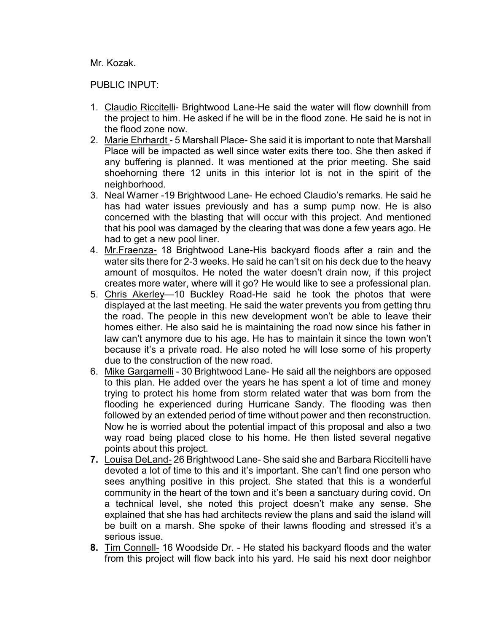Mr. Kozak.

## PUBLIC INPUT:

- 1. Claudio Riccitelli- Brightwood Lane-He said the water will flow downhill from the project to him. He asked if he will be in the flood zone. He said he is not in the flood zone now.
- 2. Marie Ehrhardt 5 Marshall Place- She said it is important to note that Marshall Place will be impacted as well since water exits there too. She then asked if any buffering is planned. It was mentioned at the prior meeting. She said shoehorning there 12 units in this interior lot is not in the spirit of the neighborhood.
- 3. Neal Warner -19 Brightwood Lane- He echoed Claudio's remarks. He said he has had water issues previously and has a sump pump now. He is also concerned with the blasting that will occur with this project. And mentioned that his pool was damaged by the clearing that was done a few years ago. He had to get a new pool liner.
- 4. Mr.Fraenza- 18 Brightwood Lane-His backyard floods after a rain and the water sits there for 2-3 weeks. He said he can't sit on his deck due to the heavy amount of mosquitos. He noted the water doesn't drain now, if this project creates more water, where will it go? He would like to see a professional plan.
- 5. Chris Akerley—10 Buckley Road-He said he took the photos that were displayed at the last meeting. He said the water prevents you from getting thru the road. The people in this new development won't be able to leave their homes either. He also said he is maintaining the road now since his father in law can't anymore due to his age. He has to maintain it since the town won't because it's a private road. He also noted he will lose some of his property due to the construction of the new road.
- 6. Mike Gargamelli 30 Brightwood Lane- He said all the neighbors are opposed to this plan. He added over the years he has spent a lot of time and money trying to protect his home from storm related water that was born from the flooding he experienced during Hurricane Sandy. The flooding was then followed by an extended period of time without power and then reconstruction. Now he is worried about the potential impact of this proposal and also a two way road being placed close to his home. He then listed several negative points about this project.
- **7.** Louisa DeLand- 26 Brightwood Lane- She said she and Barbara Riccitelli have devoted a lot of time to this and it's important. She can't find one person who sees anything positive in this project. She stated that this is a wonderful community in the heart of the town and it's been a sanctuary during covid. On a technical level, she noted this project doesn't make any sense. She explained that she has had architects review the plans and said the island will be built on a marsh. She spoke of their lawns flooding and stressed it's a serious issue.
- **8.** Tim Connell- 16 Woodside Dr. He stated his backyard floods and the water from this project will flow back into his yard. He said his next door neighbor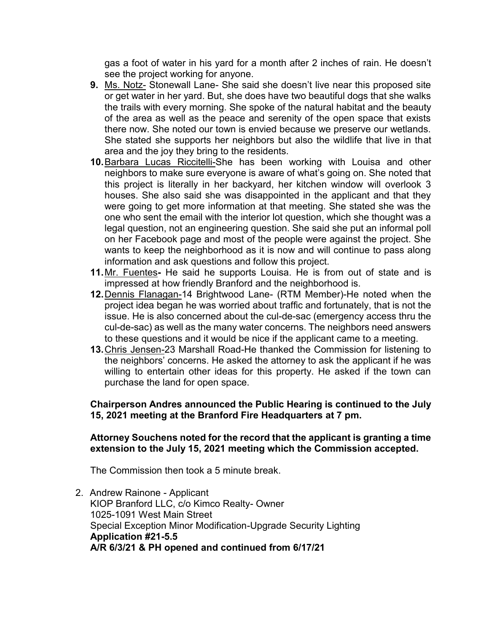gas a foot of water in his yard for a month after 2 inches of rain. He doesn't see the project working for anyone.

- **9.** Ms. Notz- Stonewall Lane- She said she doesn't live near this proposed site or get water in her yard. But, she does have two beautiful dogs that she walks the trails with every morning. She spoke of the natural habitat and the beauty of the area as well as the peace and serenity of the open space that exists there now. She noted our town is envied because we preserve our wetlands. She stated she supports her neighbors but also the wildlife that live in that area and the joy they bring to the residents.
- **10.**Barbara Lucas Riccitelli-She has been working with Louisa and other neighbors to make sure everyone is aware of what's going on. She noted that this project is literally in her backyard, her kitchen window will overlook 3 houses. She also said she was disappointed in the applicant and that they were going to get more information at that meeting. She stated she was the one who sent the email with the interior lot question, which she thought was a legal question, not an engineering question. She said she put an informal poll on her Facebook page and most of the people were against the project. She wants to keep the neighborhood as it is now and will continue to pass along information and ask questions and follow this project.
- **11.**Mr. Fuentes**-** He said he supports Louisa. He is from out of state and is impressed at how friendly Branford and the neighborhood is.
- **12.**Dennis Flanagan-14 Brightwood Lane- (RTM Member)-He noted when the project idea began he was worried about traffic and fortunately, that is not the issue. He is also concerned about the cul-de-sac (emergency access thru the cul-de-sac) as well as the many water concerns. The neighbors need answers to these questions and it would be nice if the applicant came to a meeting.
- **13.**Chris Jensen-23 Marshall Road-He thanked the Commission for listening to the neighbors' concerns. He asked the attorney to ask the applicant if he was willing to entertain other ideas for this property. He asked if the town can purchase the land for open space.

# **Chairperson Andres announced the Public Hearing is continued to the July 15, 2021 meeting at the Branford Fire Headquarters at 7 pm.**

## **Attorney Souchens noted for the record that the applicant is granting a time extension to the July 15, 2021 meeting which the Commission accepted.**

The Commission then took a 5 minute break.

2. Andrew Rainone - Applicant KIOP Branford LLC, c/o Kimco Realty- Owner 1025-1091 West Main Street Special Exception Minor Modification-Upgrade Security Lighting **Application #21-5.5 A/R 6/3/21 & PH opened and continued from 6/17/21**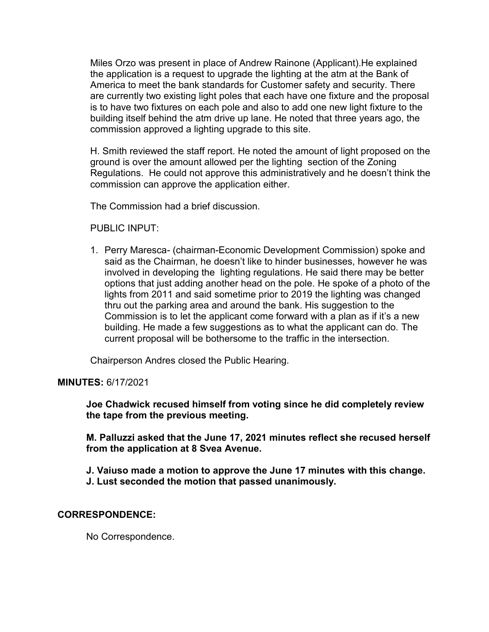Miles Orzo was present in place of Andrew Rainone (Applicant).He explained the application is a request to upgrade the lighting at the atm at the Bank of America to meet the bank standards for Customer safety and security. There are currently two existing light poles that each have one fixture and the proposal is to have two fixtures on each pole and also to add one new light fixture to the building itself behind the atm drive up lane. He noted that three years ago, the commission approved a lighting upgrade to this site.

H. Smith reviewed the staff report. He noted the amount of light proposed on the ground is over the amount allowed per the lighting section of the Zoning Regulations. He could not approve this administratively and he doesn't think the commission can approve the application either.

The Commission had a brief discussion.

PUBLIC INPUT:

1. Perry Maresca- (chairman-Economic Development Commission) spoke and said as the Chairman, he doesn't like to hinder businesses, however he was involved in developing the lighting regulations. He said there may be better options that just adding another head on the pole. He spoke of a photo of the lights from 2011 and said sometime prior to 2019 the lighting was changed thru out the parking area and around the bank. His suggestion to the Commission is to let the applicant come forward with a plan as if it's a new building. He made a few suggestions as to what the applicant can do. The current proposal will be bothersome to the traffic in the intersection.

Chairperson Andres closed the Public Hearing.

**MINUTES:** 6/17/2021

**Joe Chadwick recused himself from voting since he did completely review the tape from the previous meeting.**

**M. Palluzzi asked that the June 17, 2021 minutes reflect she recused herself from the application at 8 Svea Avenue.** 

**J. Vaiuso made a motion to approve the June 17 minutes with this change. J. Lust seconded the motion that passed unanimously.**

## **CORRESPONDENCE:**

No Correspondence.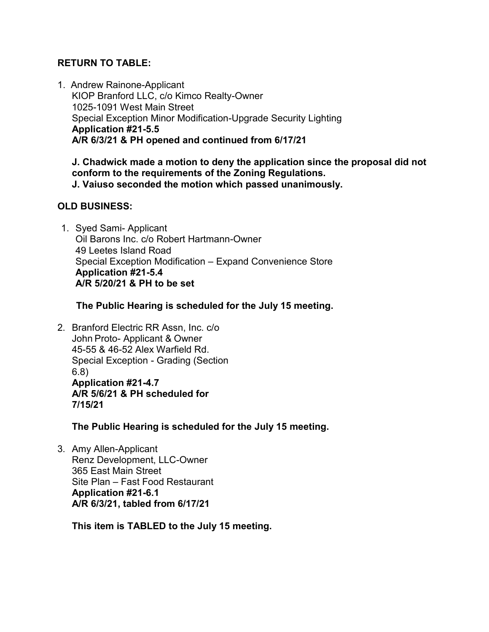# **RETURN TO TABLE:**

1. Andrew Rainone-Applicant KIOP Branford LLC, c/o Kimco Realty-Owner 1025-1091 West Main Street Special Exception Minor Modification-Upgrade Security Lighting **Application #21-5.5 A/R 6/3/21 & PH opened and continued from 6/17/21**

**J. Chadwick made a motion to deny the application since the proposal did not conform to the requirements of the Zoning Regulations. J. Vaiuso seconded the motion which passed unanimously.** 

# **OLD BUSINESS:**

1. Syed Sami- Applicant Oil Barons Inc. c/o Robert Hartmann-Owner 49 Leetes Island Road Special Exception Modification – Expand Convenience Store **Application #21-5.4 A/R 5/20/21 & PH to be set**

 **The Public Hearing is scheduled for the July 15 meeting.**

2. Branford Electric RR Assn, Inc. c/o John Proto- Applicant & Owner 45-55 & 46-52 Alex Warfield Rd. Special Exception - Grading (Section 6.8) **Application #21-4.7 A/R 5/6/21 & PH scheduled for 7/15/21**

**The Public Hearing is scheduled for the July 15 meeting.**

3. Amy Allen-Applicant Renz Development, LLC-Owner 365 East Main Street Site Plan – Fast Food Restaurant **Application #21-6.1 A/R 6/3/21, tabled from 6/17/21**

**This item is TABLED to the July 15 meeting.**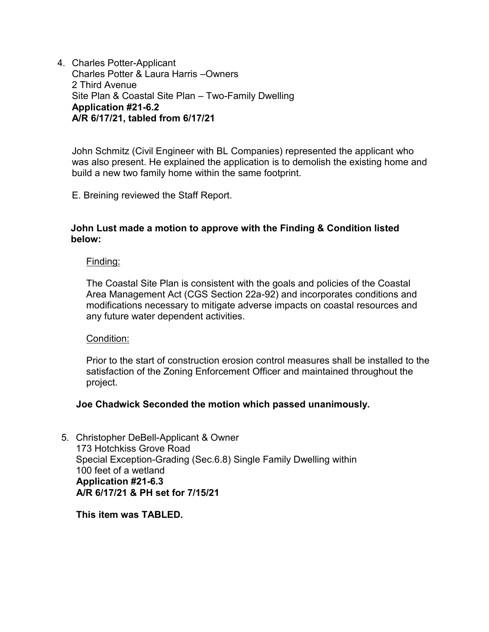4. Charles Potter-Applicant Charles Potter & Laura Harris –Owners 2 Third Avenue Site Plan & Coastal Site Plan – Two-Family Dwelling **Application #21-6.2 A/R 6/17/21, tabled from 6/17/21**

John Schmitz (Civil Engineer with BL Companies) represented the applicant who was also present. He explained the application is to demolish the existing home and build a new two family home within the same footprint.

E. Breining reviewed the Staff Report.

#### **John Lust made a motion to approve with the Finding & Condition listed below:**

#### Finding:

The Coastal Site Plan is consistent with the goals and policies of the Coastal Area Management Act (CGS Section 22a-92) and incorporates conditions and modifications necessary to mitigate adverse impacts on coastal resources and any future water dependent activities.

#### Condition:

Prior to the start of construction erosion control measures shall be installed to the satisfaction of the Zoning Enforcement Officer and maintained throughout the project.

#### **Joe Chadwick Seconded the motion which passed unanimously.**

5. Christopher DeBell-Applicant & Owner 173 Hotchkiss Grove Road Special Exception-Grading (Sec.6.8) Single Family Dwelling within 100 feet of a wetland  **Application #21-6.3 A/R 6/17/21 & PH set for 7/15/21**

 **This item was TABLED.**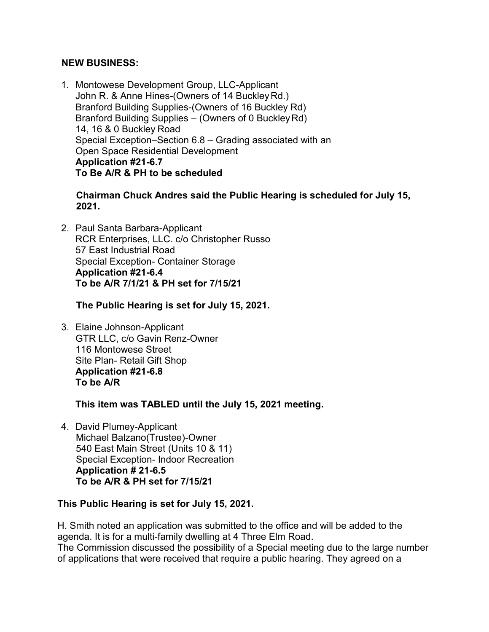## **NEW BUSINESS:**

1. Montowese Development Group, LLC-Applicant John R. & Anne Hines-(Owners of 14 BuckleyRd.) Branford Building Supplies-(Owners of 16 Buckley Rd) Branford Building Supplies – (Owners of 0 BuckleyRd) 14, 16 & 0 Buckley Road Special Exception–Section 6.8 – Grading associated with an Open Space Residential Development **Application #21-6.7 To Be A/R & PH to be scheduled**

 **Chairman Chuck Andres said the Public Hearing is scheduled for July 15, 2021.**

2. Paul Santa Barbara-Applicant RCR Enterprises, LLC. c/o Christopher Russo 57 East Industrial Road Special Exception- Container Storage **Application #21-6.4 To be A/R 7/1/21 & PH set for 7/15/21**

 **The Public Hearing is set for July 15, 2021.**

3. Elaine Johnson-Applicant GTR LLC, c/o Gavin Renz-Owner 116 Montowese Street Site Plan- Retail Gift Shop **Application #21-6.8 To be A/R** 

**This item was TABLED until the July 15, 2021 meeting.**

4. David Plumey-Applicant Michael Balzano(Trustee)-Owner 540 East Main Street (Units 10 & 11) Special Exception- Indoor Recreation **Application # 21-6.5 To be A/R & PH set for 7/15/21** 

# **This Public Hearing is set for July 15, 2021.**

H. Smith noted an application was submitted to the office and will be added to the agenda. It is for a multi-family dwelling at 4 Three Elm Road. The Commission discussed the possibility of a Special meeting due to the large number of applications that were received that require a public hearing. They agreed on a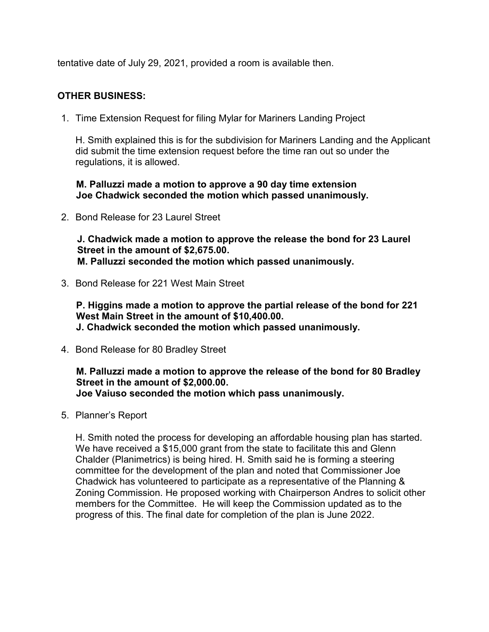tentative date of July 29, 2021, provided a room is available then.

# **OTHER BUSINESS:**

1. Time Extension Request for filing Mylar for Mariners Landing Project

H. Smith explained this is for the subdivision for Mariners Landing and the Applicant did submit the time extension request before the time ran out so under the regulations, it is allowed.

 **M. Palluzzi made a motion to approve a 90 day time extension Joe Chadwick seconded the motion which passed unanimously.** 

2. Bond Release for 23 Laurel Street

 **J. Chadwick made a motion to approve the release the bond for 23 Laurel Street in the amount of \$2,675.00. M. Palluzzi seconded the motion which passed unanimously.** 

3. Bond Release for 221 West Main Street

 **P. Higgins made a motion to approve the partial release of the bond for 221 West Main Street in the amount of \$10,400.00. J. Chadwick seconded the motion which passed unanimously.** 

4. Bond Release for 80 Bradley Street

 **M. Palluzzi made a motion to approve the release of the bond for 80 Bradley Street in the amount of \$2,000.00. Joe Vaiuso seconded the motion which pass unanimously.** 

5. Planner's Report

H. Smith noted the process for developing an affordable housing plan has started. We have received a \$15,000 grant from the state to facilitate this and Glenn Chalder (Planimetrics) is being hired. H. Smith said he is forming a steering committee for the development of the plan and noted that Commissioner Joe Chadwick has volunteered to participate as a representative of the Planning & Zoning Commission. He proposed working with Chairperson Andres to solicit other members for the Committee. He will keep the Commission updated as to the progress of this. The final date for completion of the plan is June 2022.